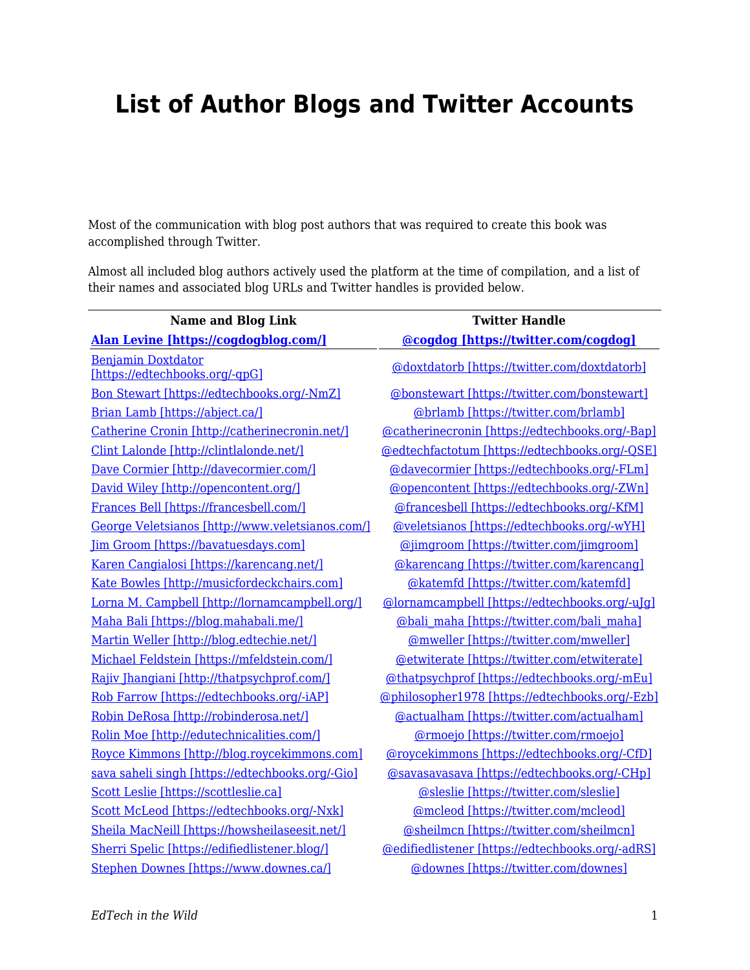## **List of Author Blogs and Twitter Accounts**

Most of the communication with blog post authors that was required to create this book was accomplished through Twitter.

Almost all included blog authors actively used the platform at the time of compilation, and a list of their names and associated blog URLs and Twitter handles is provided below.

| <b>Name and Blog Link</b>                                   | <b>Twitter Handle</b>                            |
|-------------------------------------------------------------|--------------------------------------------------|
| Alan Levine [https://cogdogblog.com/]                       | @cogdog [https://twitter.com/cogdog]             |
| <b>Benjamin Doxtdator</b><br>[https://edtechbooks.org/-qpG] | @doxtdatorb [https://twitter.com/doxtdatorb]     |
| Bon Stewart [https://edtechbooks.org/-NmZ]                  | @bonstewart [https://twitter.com/bonstewart]     |
| Brian Lamb [https://abject.ca/]                             | @brlamb [https://twitter.com/brlamb]             |
| Catherine Cronin [http://catherinecronin.net/]              | @catherinecronin [https://edtechbooks.org/-Bap]  |
| Clint Lalonde [http://clintlalonde.net/]                    | @edtechfactotum [https://edtechbooks.org/-QSE]   |
| Dave Cormier [http://davecormier.com/]                      | @davecormier [https://edtechbooks.org/-FLm]      |
| David Wiley [http://opencontent.org/]                       | @opencontent [https://edtechbooks.org/-ZWn]      |
| Frances Bell [https://francesbell.com/]                     | @francesbell [https://edtechbooks.org/-KfM]      |
| George Veletsianos [http://www.veletsianos.com/]            | @veletsianos [https://edtechbooks.org/-wYH]      |
| Jim Groom [https://bavatuesdays.com]                        | @jimgroom [https://twitter.com/jimgroom]         |
| Karen Cangialosi [https://karencang.net/]                   | @karencang [https://twitter.com/karencang]       |
| Kate Bowles [http://musicfordeckchairs.com]                 | @katemfd [https://twitter.com/katemfd]           |
| Lorna M. Campbell [http://lornamcampbell.org/]              | @lornamcampbell [https://edtechbooks.org/-uJg]   |
| Maha Bali [https://blog.mahabali.me/]                       | @bali maha [https://twitter.com/bali maha]       |
| Martin Weller [http://blog.edtechie.net/]                   | @mweller [https://twitter.com/mweller]           |
| Michael Feldstein [https://mfeldstein.com/]                 | @etwiterate [https://twitter.com/etwiterate]     |
| Rajiv Jhangiani [http://thatpsychprof.com/]                 | @thatpsychprof [https://edtechbooks.org/-mEu]    |
| Rob Farrow [https://edtechbooks.org/-iAP]                   | @philosopher1978 [https://edtechbooks.org/-Ezb]  |
| Robin DeRosa [http://robinderosa.net/]                      | @actualham [https://twitter.com/actualham]       |
| Rolin Moe [http://edutechnicalities.com/]                   | @rmoejo [https://twitter.com/rmoejo]             |
| Royce Kimmons [http://blog.roycekimmons.com]                | @roycekimmons [https://edtechbooks.org/-CfD]     |
| sava saheli singh [https://edtechbooks.org/-Gio]            | @savasavasava [https://edtechbooks.org/-CHp]     |
| Scott Leslie [https://scottleslie.ca]                       | @sleslie [https://twitter.com/sleslie]           |
| Scott McLeod [https://edtechbooks.org/-Nxk]                 | @mcleod [https://twitter.com/mcleod]             |
| Sheila MacNeill [https://howsheilaseesit.net/]              | @sheilmcn [https://twitter.com/sheilmcn]         |
| Sherri Spelic [https://edifiedlistener.blog/]               | @edifiedlistener [https://edtechbooks.org/-adRS] |
| Stephen Downes [https://www.downes.ca/]                     | @downes [https://twitter.com/downes]             |